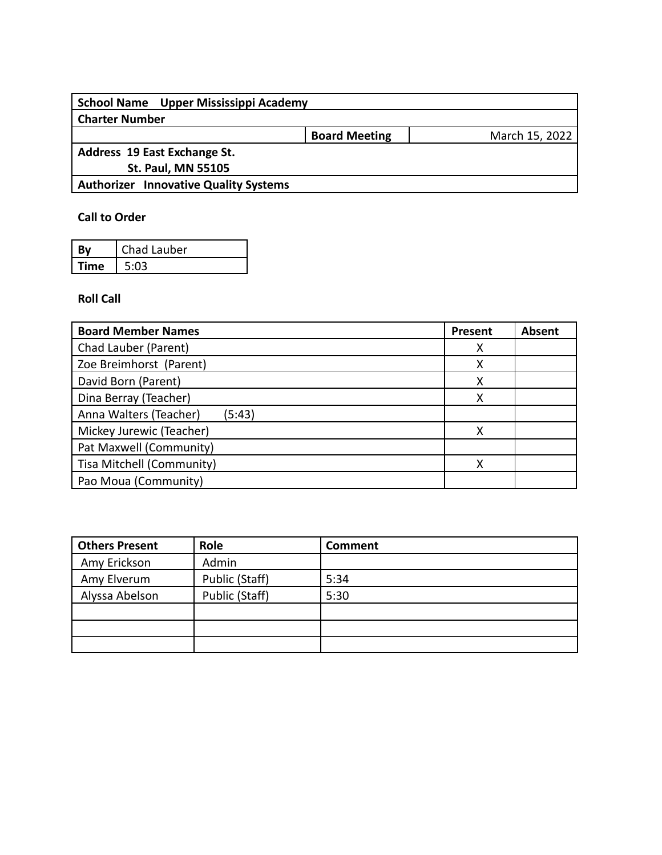| School Name Upper Mississippi Academy        |                      |                |
|----------------------------------------------|----------------------|----------------|
| <b>Charter Number</b>                        |                      |                |
|                                              | <b>Board Meeting</b> | March 15, 2022 |
| Address 19 East Exchange St.                 |                      |                |
| <b>St. Paul, MN 55105</b>                    |                      |                |
| <b>Authorizer Innovative Quality Systems</b> |                      |                |
|                                              |                      |                |

## **Call to Order**

| Bv          | Chad Lauber |
|-------------|-------------|
| <b>Fime</b> | 5:03        |

## **Roll Call**

| <b>Board Member Names</b>        | Present | <b>Absent</b> |
|----------------------------------|---------|---------------|
| Chad Lauber (Parent)             | Χ       |               |
| Zoe Breimhorst (Parent)          | х       |               |
| David Born (Parent)              | х       |               |
| Dina Berray (Teacher)            | х       |               |
| Anna Walters (Teacher)<br>(5:43) |         |               |
| Mickey Jurewic (Teacher)         | х       |               |
| Pat Maxwell (Community)          |         |               |
| Tisa Mitchell (Community)        | х       |               |
| Pao Moua (Community)             |         |               |

| <b>Others Present</b> | Role           | <b>Comment</b> |
|-----------------------|----------------|----------------|
| Amy Erickson          | Admin          |                |
| Amy Elverum           | Public (Staff) | 5:34           |
| Alyssa Abelson        | Public (Staff) | 5:30           |
|                       |                |                |
|                       |                |                |
|                       |                |                |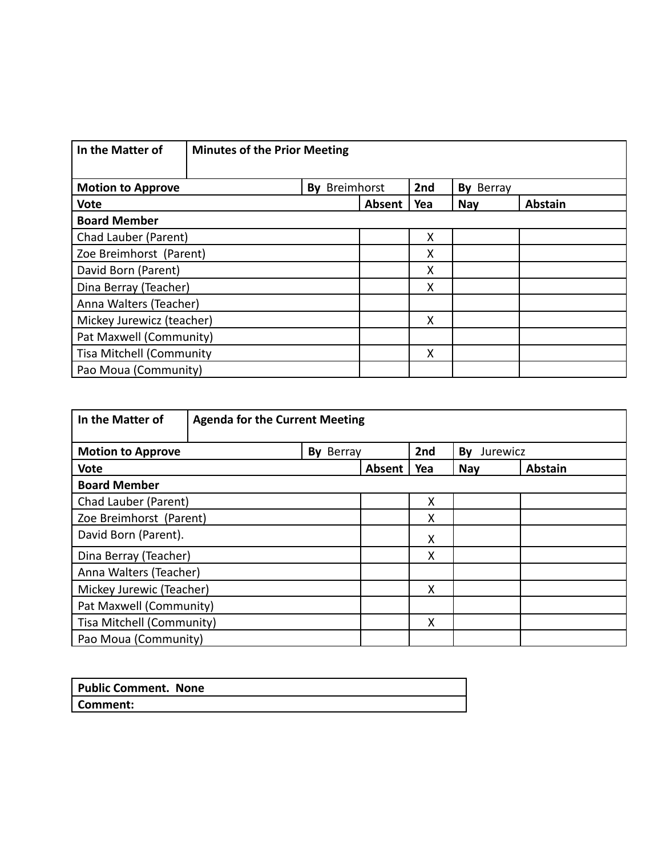| In the Matter of<br><b>Minutes of the Prior Meeting</b>          |  |        |     |     |                |  |  |
|------------------------------------------------------------------|--|--------|-----|-----|----------------|--|--|
| 2nd<br>Breimhorst<br><b>Motion to Approve</b><br>By<br>By Berray |  |        |     |     |                |  |  |
| <b>Vote</b>                                                      |  | Absent | Yea | Nay | <b>Abstain</b> |  |  |
| <b>Board Member</b>                                              |  |        |     |     |                |  |  |
| Chad Lauber (Parent)                                             |  |        | Χ   |     |                |  |  |
| Zoe Breimhorst (Parent)                                          |  |        | Χ   |     |                |  |  |
| David Born (Parent)                                              |  |        | X   |     |                |  |  |
| Dina Berray (Teacher)                                            |  |        | X   |     |                |  |  |
| Anna Walters (Teacher)                                           |  |        |     |     |                |  |  |
| Mickey Jurewicz (teacher)                                        |  |        | X   |     |                |  |  |
| Pat Maxwell (Community)                                          |  |        |     |     |                |  |  |
| <b>Tisa Mitchell (Community</b>                                  |  | X      |     |     |                |  |  |
| Pao Moua (Community)                                             |  |        |     |     |                |  |  |

| In the Matter of                                               | <b>Agenda for the Current Meeting</b> |  |        |     |            |                |  |
|----------------------------------------------------------------|---------------------------------------|--|--------|-----|------------|----------------|--|
| 2nd<br>By Berray<br>Jurewicz<br><b>Motion to Approve</b><br>By |                                       |  |        |     |            |                |  |
| <b>Vote</b>                                                    |                                       |  | Absent | Yea | <b>Nay</b> | <b>Abstain</b> |  |
| <b>Board Member</b>                                            |                                       |  |        |     |            |                |  |
| Chad Lauber (Parent)                                           |                                       |  |        | Χ   |            |                |  |
|                                                                | Zoe Breimhorst (Parent)<br>X          |  |        |     |            |                |  |
| David Born (Parent).                                           |                                       |  |        | Χ   |            |                |  |
| Dina Berray (Teacher)                                          |                                       |  |        | X   |            |                |  |
| Anna Walters (Teacher)                                         |                                       |  |        |     |            |                |  |
| Mickey Jurewic (Teacher)<br>X                                  |                                       |  |        |     |            |                |  |
| Pat Maxwell (Community)                                        |                                       |  |        |     |            |                |  |
| Tisa Mitchell (Community)<br>X                                 |                                       |  |        |     |            |                |  |
| Pao Moua (Community)                                           |                                       |  |        |     |            |                |  |

| <b>Public Comment. None</b> |  |
|-----------------------------|--|
| Comment:                    |  |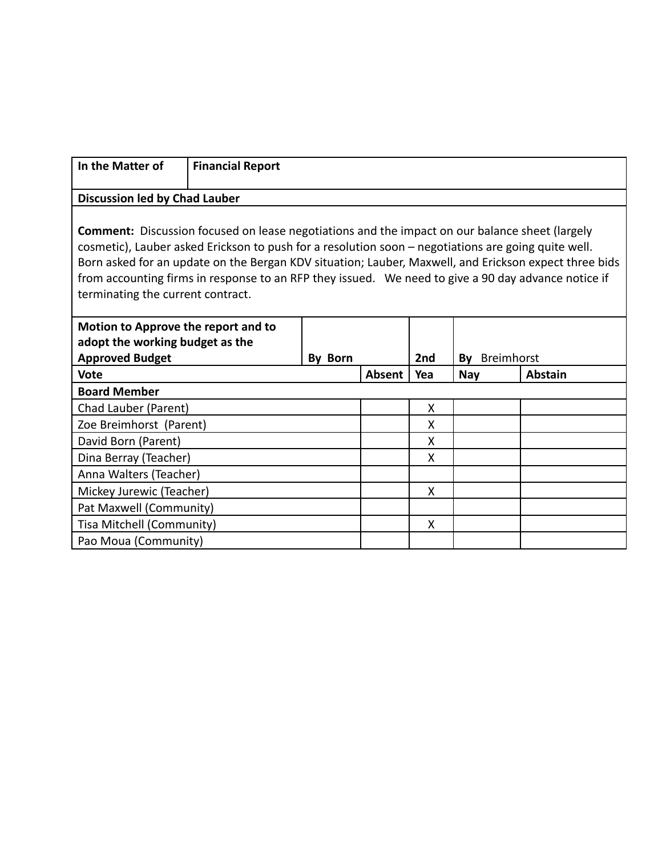| In the Matter of                                                                                                                                                                                                                                                                                                                                                                                                                                                  | <b>Financial Report</b>                                                |         |        |     |                  |                |  |
|-------------------------------------------------------------------------------------------------------------------------------------------------------------------------------------------------------------------------------------------------------------------------------------------------------------------------------------------------------------------------------------------------------------------------------------------------------------------|------------------------------------------------------------------------|---------|--------|-----|------------------|----------------|--|
|                                                                                                                                                                                                                                                                                                                                                                                                                                                                   |                                                                        |         |        |     |                  |                |  |
| <b>Discussion led by Chad Lauber</b>                                                                                                                                                                                                                                                                                                                                                                                                                              |                                                                        |         |        |     |                  |                |  |
| <b>Comment:</b> Discussion focused on lease negotiations and the impact on our balance sheet (largely<br>cosmetic), Lauber asked Erickson to push for a resolution soon - negotiations are going quite well.<br>Born asked for an update on the Bergan KDV situation; Lauber, Maxwell, and Erickson expect three bids<br>from accounting firms in response to an RFP they issued. We need to give a 90 day advance notice if<br>terminating the current contract. |                                                                        |         |        |     |                  |                |  |
|                                                                                                                                                                                                                                                                                                                                                                                                                                                                   | Motion to Approve the report and to<br>adopt the working budget as the |         |        |     |                  |                |  |
| <b>Approved Budget</b>                                                                                                                                                                                                                                                                                                                                                                                                                                            |                                                                        | By Born |        | 2nd | Breimhorst<br>Bv |                |  |
| <b>Vote</b>                                                                                                                                                                                                                                                                                                                                                                                                                                                       |                                                                        |         | Absent | Yea | <b>Nay</b>       | <b>Abstain</b> |  |
| <b>Board Member</b>                                                                                                                                                                                                                                                                                                                                                                                                                                               |                                                                        |         |        |     |                  |                |  |
| Chad Lauber (Parent)                                                                                                                                                                                                                                                                                                                                                                                                                                              |                                                                        |         |        | X   |                  |                |  |
| Zoe Breimhorst (Parent)                                                                                                                                                                                                                                                                                                                                                                                                                                           |                                                                        |         |        | X   |                  |                |  |
| David Born (Parent)                                                                                                                                                                                                                                                                                                                                                                                                                                               |                                                                        |         |        | X   |                  |                |  |
| Dina Berray (Teacher)                                                                                                                                                                                                                                                                                                                                                                                                                                             |                                                                        |         |        | X   |                  |                |  |
| Anna Walters (Teacher)                                                                                                                                                                                                                                                                                                                                                                                                                                            |                                                                        |         |        |     |                  |                |  |
|                                                                                                                                                                                                                                                                                                                                                                                                                                                                   | Χ<br>Mickey Jurewic (Teacher)                                          |         |        |     |                  |                |  |
| Pat Maxwell (Community)                                                                                                                                                                                                                                                                                                                                                                                                                                           |                                                                        |         |        |     |                  |                |  |
| Tisa Mitchell (Community)                                                                                                                                                                                                                                                                                                                                                                                                                                         |                                                                        |         |        | X   |                  |                |  |
| Pao Moua (Community)                                                                                                                                                                                                                                                                                                                                                                                                                                              |                                                                        |         |        |     |                  |                |  |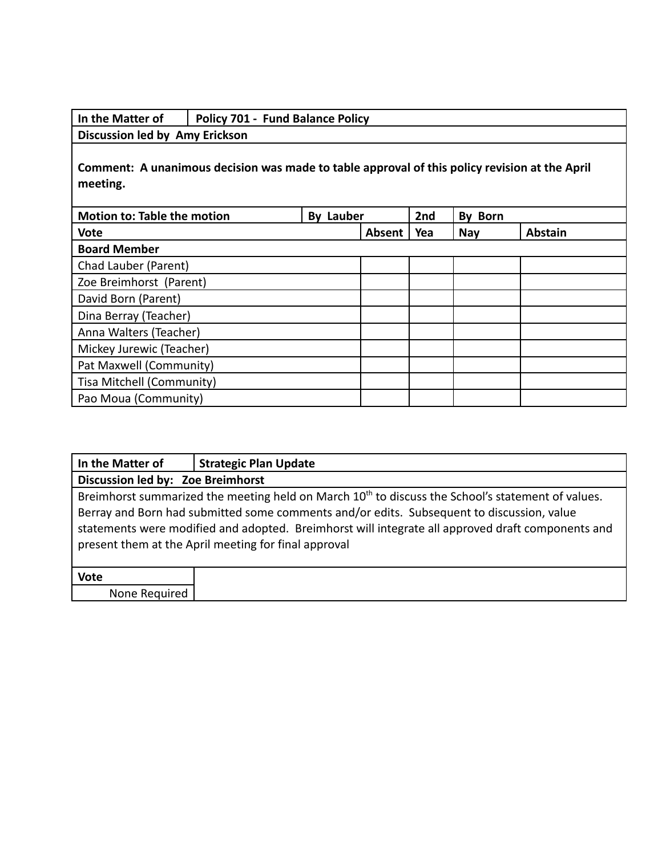| In the Matter of                                                                                          | <b>Policy 701 - Fund Balance Policy</b> |                  |        |     |            |                |  |  |
|-----------------------------------------------------------------------------------------------------------|-----------------------------------------|------------------|--------|-----|------------|----------------|--|--|
| Discussion led by Amy Erickson                                                                            |                                         |                  |        |     |            |                |  |  |
| Comment: A unanimous decision was made to table approval of this policy revision at the April<br>meeting. |                                         |                  |        |     |            |                |  |  |
| <b>Motion to: Table the motion</b>                                                                        |                                         | <b>By Lauber</b> |        | 2nd | By Born    |                |  |  |
| <b>Vote</b>                                                                                               |                                         |                  | Absent | Yea | <b>Nay</b> | <b>Abstain</b> |  |  |
| <b>Board Member</b>                                                                                       |                                         |                  |        |     |            |                |  |  |
| Chad Lauber (Parent)                                                                                      |                                         |                  |        |     |            |                |  |  |
| Zoe Breimhorst (Parent)                                                                                   |                                         |                  |        |     |            |                |  |  |
| David Born (Parent)                                                                                       |                                         |                  |        |     |            |                |  |  |
| Dina Berray (Teacher)                                                                                     |                                         |                  |        |     |            |                |  |  |
| Anna Walters (Teacher)                                                                                    |                                         |                  |        |     |            |                |  |  |
| Mickey Jurewic (Teacher)                                                                                  |                                         |                  |        |     |            |                |  |  |
| Pat Maxwell (Community)                                                                                   |                                         |                  |        |     |            |                |  |  |
| Tisa Mitchell (Community)                                                                                 |                                         |                  |        |     |            |                |  |  |
| Pao Moua (Community)                                                                                      |                                         |                  |        |     |            |                |  |  |

| In the Matter of                                                                                                                                                                                                                                                                                                                                                        | <b>Strategic Plan Update</b>      |  |  |  |  |  |  |  |
|-------------------------------------------------------------------------------------------------------------------------------------------------------------------------------------------------------------------------------------------------------------------------------------------------------------------------------------------------------------------------|-----------------------------------|--|--|--|--|--|--|--|
|                                                                                                                                                                                                                                                                                                                                                                         | Discussion led by: Zoe Breimhorst |  |  |  |  |  |  |  |
| Breimhorst summarized the meeting held on March 10 <sup>th</sup> to discuss the School's statement of values.<br>Berray and Born had submitted some comments and/or edits. Subsequent to discussion, value<br>statements were modified and adopted. Breimhorst will integrate all approved draft components and<br>present them at the April meeting for final approval |                                   |  |  |  |  |  |  |  |
|                                                                                                                                                                                                                                                                                                                                                                         |                                   |  |  |  |  |  |  |  |
| <b>Vote</b>                                                                                                                                                                                                                                                                                                                                                             |                                   |  |  |  |  |  |  |  |
| None Required                                                                                                                                                                                                                                                                                                                                                           |                                   |  |  |  |  |  |  |  |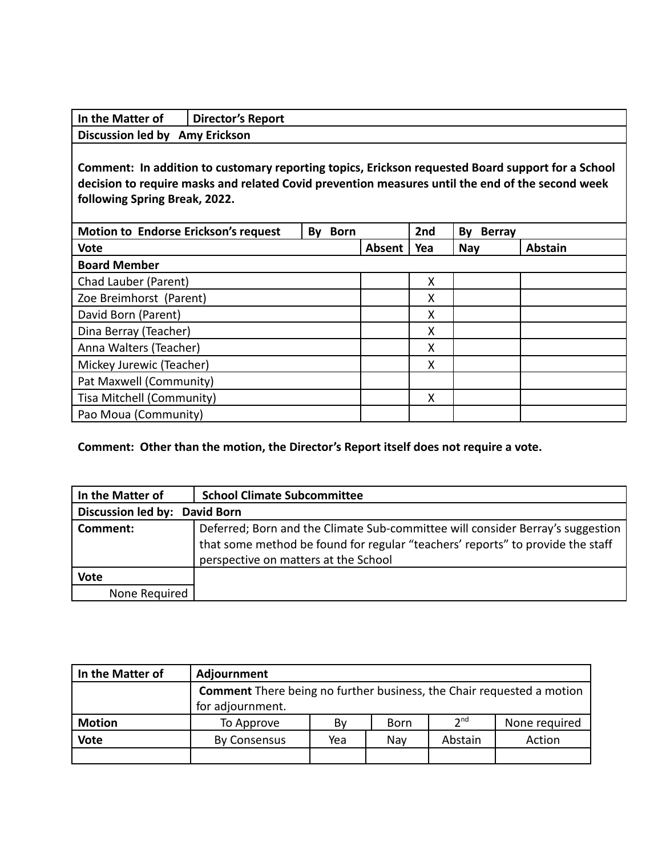| In the Matter of               | Director's Report |
|--------------------------------|-------------------|
| Discussion led by Amy Erickson |                   |

**Comment: In addition to customary reporting topics, Erickson requested Board support for a School decision to require masks and related Covid prevention measures until the end of the second week following Spring Break, 2022.**

| <b>Motion to Endorse Erickson's request</b> | <b>Born</b><br>By |        | 2nd | By<br><b>Berray</b> |                |
|---------------------------------------------|-------------------|--------|-----|---------------------|----------------|
| <b>Vote</b>                                 |                   | Absent | Yea | <b>Nay</b>          | <b>Abstain</b> |
| <b>Board Member</b>                         |                   |        |     |                     |                |
| Chad Lauber (Parent)                        |                   |        | Χ   |                     |                |
| Zoe Breimhorst (Parent)                     |                   |        | Χ   |                     |                |
| David Born (Parent)                         |                   |        | Χ   |                     |                |
| Dina Berray (Teacher)                       |                   |        | X   |                     |                |
| Anna Walters (Teacher)                      |                   |        | X   |                     |                |
| Mickey Jurewic (Teacher)                    |                   |        | Χ   |                     |                |
| Pat Maxwell (Community)                     |                   |        |     |                     |                |
| Tisa Mitchell (Community)                   |                   |        | Χ   |                     |                |
| Pao Moua (Community)                        |                   |        |     |                     |                |

## **Comment: Other than the motion, the Director's Report itself does not require a vote.**

| In the Matter of              | <b>School Climate Subcommittee</b>                                                                                                                                                                       |  |  |  |
|-------------------------------|----------------------------------------------------------------------------------------------------------------------------------------------------------------------------------------------------------|--|--|--|
| Discussion led by: David Born |                                                                                                                                                                                                          |  |  |  |
| Comment:                      | Deferred; Born and the Climate Sub-committee will consider Berray's suggestion<br>that some method be found for regular "teachers' reports" to provide the staff<br>perspective on matters at the School |  |  |  |
| <b>Vote</b>                   |                                                                                                                                                                                                          |  |  |  |
| None Required                 |                                                                                                                                                                                                          |  |  |  |

| In the Matter of | Adjournment                                                                  |     |             |                 |               |
|------------------|------------------------------------------------------------------------------|-----|-------------|-----------------|---------------|
|                  | <b>Comment</b> There being no further business, the Chair requested a motion |     |             |                 |               |
|                  | for adjournment.                                                             |     |             |                 |               |
| <b>Motion</b>    | To Approve                                                                   | Bv  | <b>Born</b> | 2 <sup>nd</sup> | None required |
| <b>Vote</b>      | By Consensus                                                                 | Yea | Nav         | Abstain         | Action        |
|                  |                                                                              |     |             |                 |               |